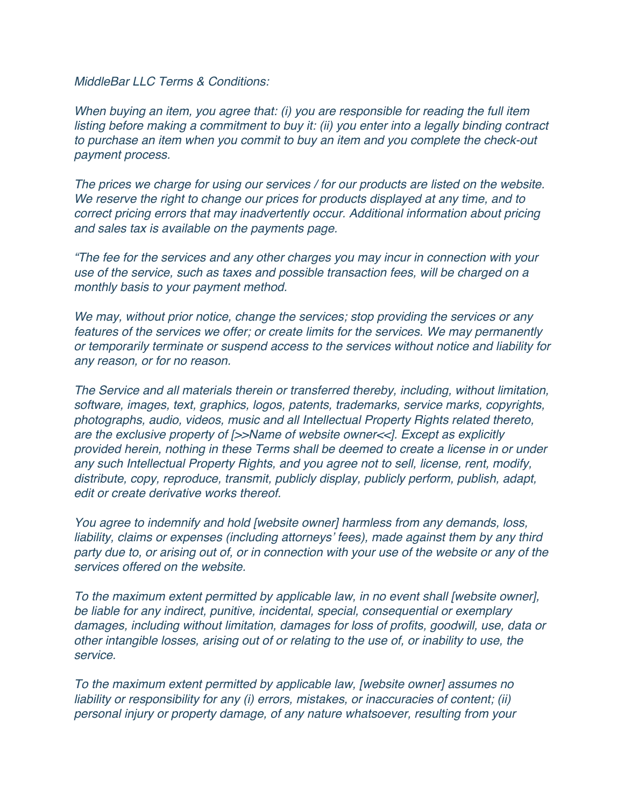*MiddleBar LLC Terms & Conditions:*

*When buying an item, you agree that: (i) you are responsible for reading the full item listing before making a commitment to buy it: (ii) you enter into a legally binding contract to purchase an item when you commit to buy an item and you complete the check-out payment process.*

*The prices we charge for using our services / for our products are listed on the website. We reserve the right to change our prices for products displayed at any time, and to correct pricing errors that may inadvertently occur. Additional information about pricing and sales tax is available on the payments page.*

*"The fee for the services and any other charges you may incur in connection with your use of the service, such as taxes and possible transaction fees, will be charged on a monthly basis to your payment method.*

*We may, without prior notice, change the services; stop providing the services or any features of the services we offer; or create limits for the services. We may permanently or temporarily terminate or suspend access to the services without notice and liability for any reason, or for no reason.*

*The Service and all materials therein or transferred thereby, including, without limitation, software, images, text, graphics, logos, patents, trademarks, service marks, copyrights, photographs, audio, videos, music and all Intellectual Property Rights related thereto, are the exclusive property of [>>Name of website owner<<]. Except as explicitly provided herein, nothing in these Terms shall be deemed to create a license in or under any such Intellectual Property Rights, and you agree not to sell, license, rent, modify, distribute, copy, reproduce, transmit, publicly display, publicly perform, publish, adapt, edit or create derivative works thereof.*

*You agree to indemnify and hold [website owner] harmless from any demands, loss, liability, claims or expenses (including attorneys' fees), made against them by any third party due to, or arising out of, or in connection with your use of the website or any of the services offered on the website.*

*To the maximum extent permitted by applicable law, in no event shall [website owner], be liable for any indirect, punitive, incidental, special, consequential or exemplary damages, including without limitation, damages for loss of profits, goodwill, use, data or other intangible losses, arising out of or relating to the use of, or inability to use, the service.*

*To the maximum extent permitted by applicable law, [website owner] assumes no liability or responsibility for any (i) errors, mistakes, or inaccuracies of content; (ii) personal injury or property damage, of any nature whatsoever, resulting from your*